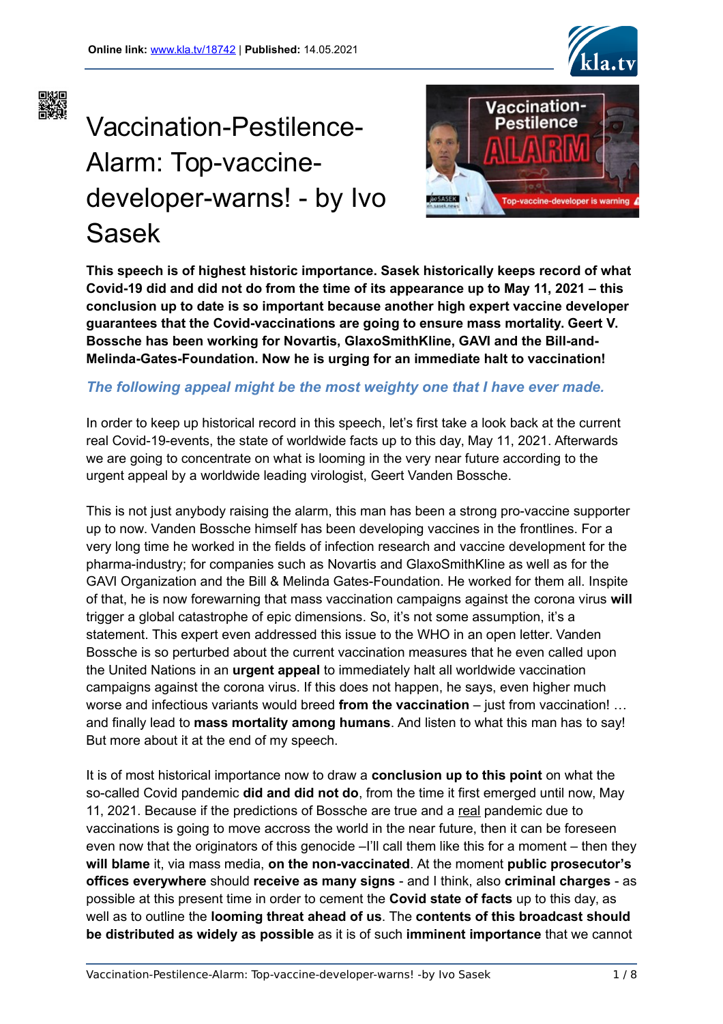

# Vaccination-Pestilence-Alarm: Top-vaccinedeveloper-warns! - by Ivo Sasek



**This speech is of highest historic importance. Sasek historically keeps record of what Covid-19 did and did not do from the time of its appearance up to May 11, 2021 – this conclusion up to date is so important because another high expert vaccine developer guarantees that the Covid-vaccinations are going to ensure mass mortality. Geert V. Bossche has been working for Novartis, GlaxoSmithKline, GAVI and the Bill-and-Melinda-Gates-Foundation. Now he is urging for an immediate halt to vaccination!**

## *The following appeal might be the most weighty one that I have ever made.*

In order to keep up historical record in this speech, let's first take a look back at the current real Covid-19-events, the state of worldwide facts up to this day, May 11, 2021. Afterwards we are going to concentrate on what is looming in the very near future according to the urgent appeal by a worldwide leading virologist, Geert Vanden Bossche.

This is not just anybody raising the alarm, this man has been a strong pro-vaccine supporter up to now. Vanden Bossche himself has been developing vaccines in the frontlines. For a very long time he worked in the fields of infection research and vaccine development for the pharma-industry; for companies such as Novartis and GlaxoSmithKline as well as for the GAVI Organization and the Bill & Melinda Gates-Foundation. He worked for them all. Inspite of that, he is now forewarning that mass vaccination campaigns against the corona virus **will** trigger a global catastrophe of epic dimensions. So, it's not some assumption, it's a statement. This expert even addressed this issue to the WHO in an open letter. Vanden Bossche is so perturbed about the current vaccination measures that he even called upon the United Nations in an **urgent appeal** to immediately halt all worldwide vaccination campaigns against the corona virus. If this does not happen, he says, even higher much worse and infectious variants would breed **from the vaccination** – just from vaccination! … and finally lead to **mass mortality among humans**. And listen to what this man has to say! But more about it at the end of my speech.

It is of most historical importance now to draw a **conclusion up to this point** on what the so-called Covid pandemic **did and did not do**, from the time it first emerged until now, May 11, 2021. Because if the predictions of Bossche are true and a real pandemic due to vaccinations is going to move accross the world in the near future, then it can be foreseen even now that the originators of this genocide –I'll call them like this for a moment – then they **will blame** it, via mass media, **on the non-vaccinated**. At the moment **public prosecutor's offices everywhere** should **receive as many signs** - and I think, also **criminal charges** - as possible at this present time in order to cement the **Covid state of facts** up to this day, as well as to outline the **looming threat ahead of us**. The **contents of this broadcast should be distributed as widely as possible** as it is of such **imminent importance** that we cannot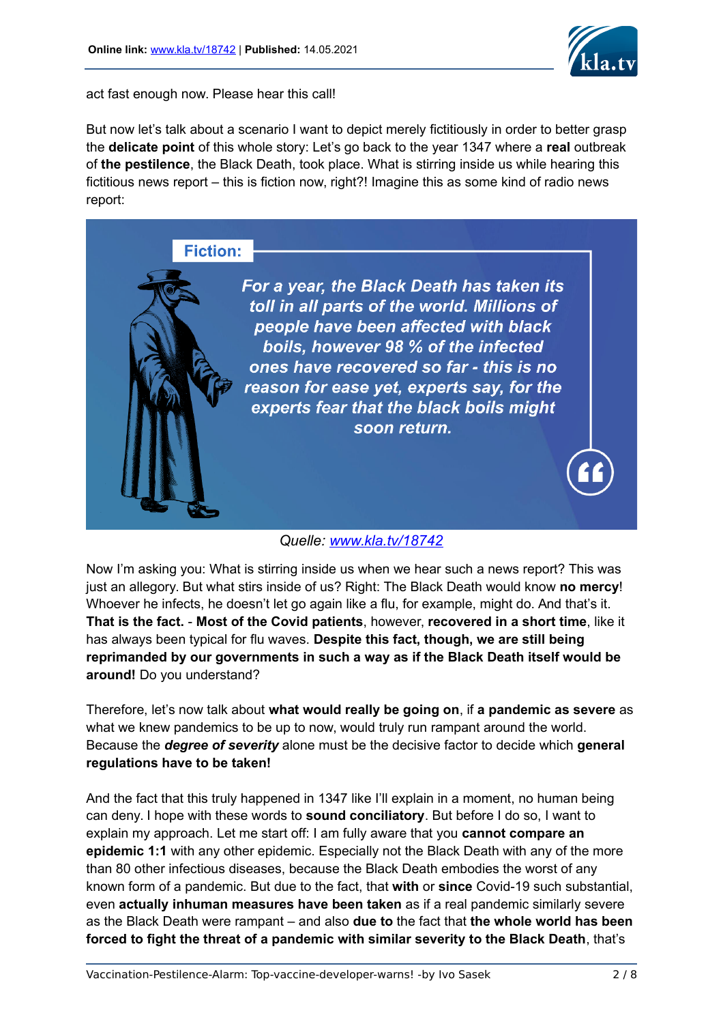

act fast enough now. Please hear this call!

But now let's talk about a scenario I want to depict merely fictitiously in order to better grasp the **delicate point** of this whole story: Let's go back to the year 1347 where a **real** outbreak of **the pestilence**, the Black Death, took place. What is stirring inside us while hearing this fictitious news report – this is fiction now, right?! Imagine this as some kind of radio news report:

**Fiction:** 



*Quelle: [www.kla.tv/18742](http://www.kla.tv/18722)*

Now I'm asking you: What is stirring inside us when we hear such a news report? This was just an allegory. But what stirs inside of us? Right: The Black Death would know **no mercy**! Whoever he infects, he doesn't let go again like a flu, for example, might do. And that's it. **That is the fact.** - **Most of the Covid patients**, however, **recovered in a short time**, like it has always been typical for flu waves. **Despite this fact, though, we are still being reprimanded by our governments in such a way as if the Black Death itself would be around!** Do you understand?

Therefore, let's now talk about **what would really be going on**, if **a pandemic as severe** as what we knew pandemics to be up to now, would truly run rampant around the world. Because the *degree of severity* alone must be the decisive factor to decide which **general regulations have to be taken!**

And the fact that this truly happened in 1347 like I'll explain in a moment, no human being can deny. I hope with these words to **sound conciliatory**. But before I do so, I want to explain my approach. Let me start off: I am fully aware that you **cannot compare an epidemic 1:1** with any other epidemic. Especially not the Black Death with any of the more than 80 other infectious diseases, because the Black Death embodies the worst of any known form of a pandemic. But due to the fact, that **with** or **since** Covid-19 such substantial, even **actually inhuman measures have been taken** as if a real pandemic similarly severe as the Black Death were rampant – and also **due to** the fact that **the whole world has been forced to fight the threat of a pandemic with similar severity to the Black Death**, that's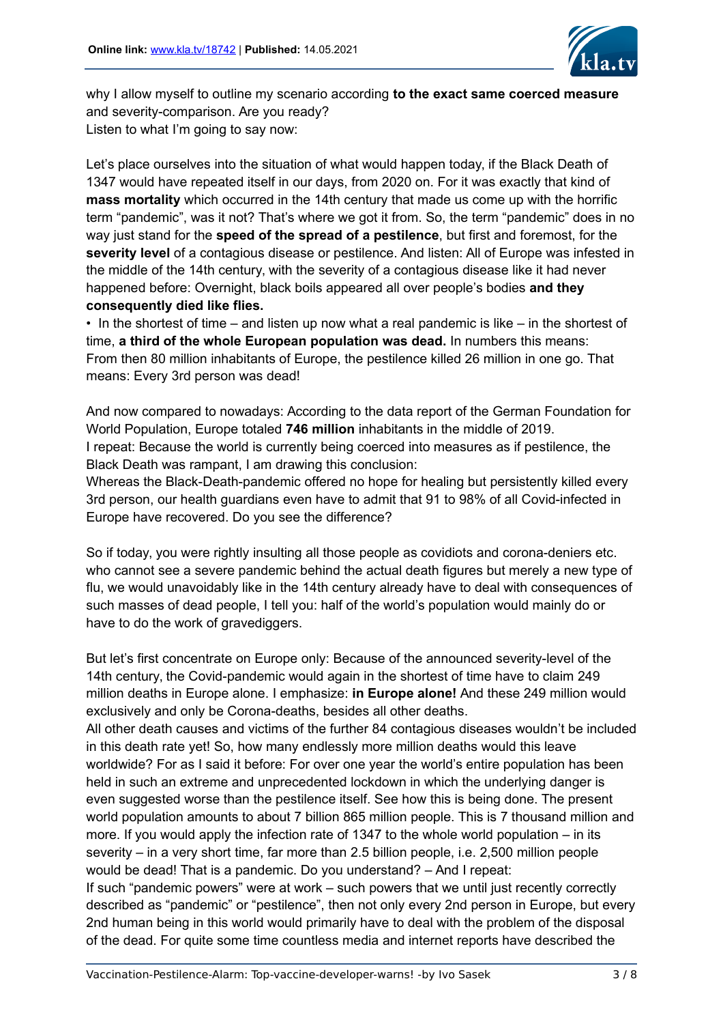

why I allow myself to outline my scenario according **to the exact same coerced measure** and severity-comparison. Are you ready? Listen to what I'm going to say now:

Let's place ourselves into the situation of what would happen today, if the Black Death of 1347 would have repeated itself in our days, from 2020 on. For it was exactly that kind of **mass mortality** which occurred in the 14th century that made us come up with the horrific term "pandemic", was it not? That's where we got it from. So, the term "pandemic" does in no way just stand for the **speed of the spread of a pestilence**, but first and foremost, for the **severity level** of a contagious disease or pestilence. And listen: All of Europe was infested in the middle of the 14th century, with the severity of a contagious disease like it had never happened before: Overnight, black boils appeared all over people's bodies **and they consequently died like flies.** 

• In the shortest of time – and listen up now what a real pandemic is like – in the shortest of time, **a third of the whole European population was dead.** In numbers this means: From then 80 million inhabitants of Europe, the pestilence killed 26 million in one go. That means: Every 3rd person was dead!

And now compared to nowadays: According to the data report of the German Foundation for World Population, Europe totaled **746 million** inhabitants in the middle of 2019. I repeat: Because the world is currently being coerced into measures as if pestilence, the Black Death was rampant, I am drawing this conclusion:

Whereas the Black-Death-pandemic offered no hope for healing but persistently killed every 3rd person, our health guardians even have to admit that 91 to 98% of all Covid-infected in Europe have recovered. Do you see the difference?

So if today, you were rightly insulting all those people as covidiots and corona-deniers etc. who cannot see a severe pandemic behind the actual death figures but merely a new type of flu, we would unavoidably like in the 14th century already have to deal with consequences of such masses of dead people, I tell you: half of the world's population would mainly do or have to do the work of gravediggers.

But let's first concentrate on Europe only: Because of the announced severity-level of the 14th century, the Covid-pandemic would again in the shortest of time have to claim 249 million deaths in Europe alone. I emphasize: **in Europe alone!** And these 249 million would exclusively and only be Corona-deaths, besides all other deaths.

All other death causes and victims of the further 84 contagious diseases wouldn't be included in this death rate yet! So, how many endlessly more million deaths would this leave worldwide? For as I said it before: For over one year the world's entire population has been held in such an extreme and unprecedented lockdown in which the underlying danger is even suggested worse than the pestilence itself. See how this is being done. The present world population amounts to about 7 billion 865 million people. This is 7 thousand million and more. If you would apply the infection rate of 1347 to the whole world population – in its severity – in a very short time, far more than 2.5 billion people, i.e. 2,500 million people would be dead! That is a pandemic. Do you understand? – And I repeat: If such "pandemic powers" were at work – such powers that we until just recently correctly described as "pandemic" or "pestilence", then not only every 2nd person in Europe, but every 2nd human being in this world would primarily have to deal with the problem of the disposal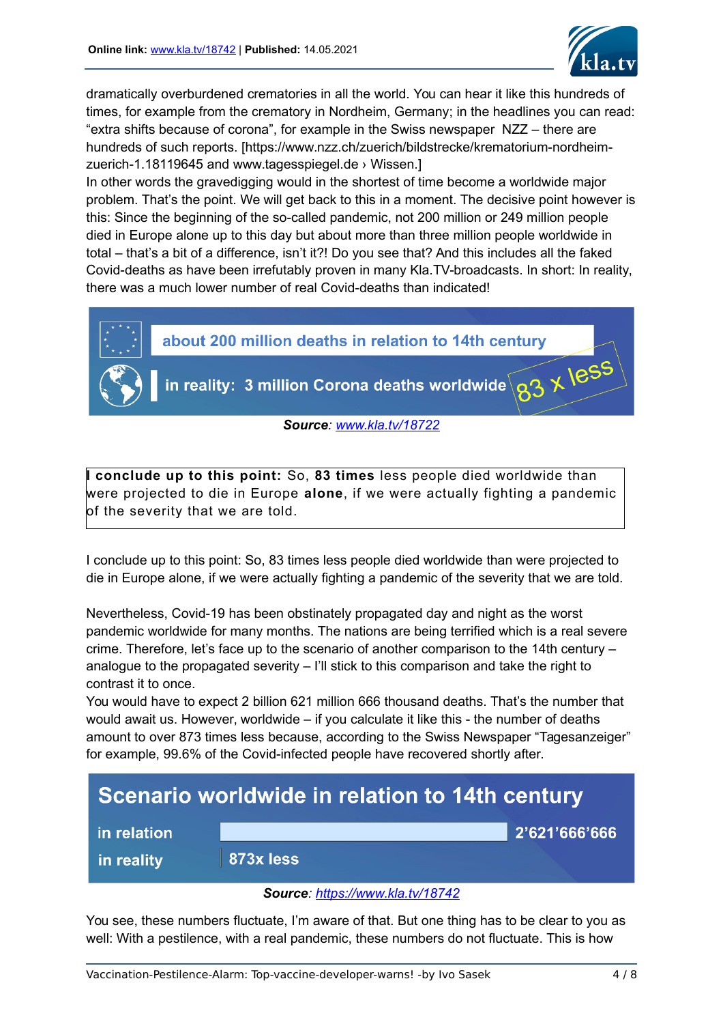

dramatically overburdened crematories in all the world. You can hear it like this hundreds of times, for example from the crematory in Nordheim, Germany; in the headlines you can read: "extra shifts because of corona", for example in the Swiss newspaper NZZ – there are hundreds of such reports. [https://www.nzz.ch/zuerich/bildstrecke/krematorium-nordheimzuerich-1.18119645 and www.tagesspiegel.de › Wissen.]

In other words the gravedigging would in the shortest of time become a worldwide major problem. That's the point. We will get back to this in a moment. The decisive point however is this: Since the beginning of the so-called pandemic, not 200 million or 249 million people died in Europe alone up to this day but about more than three million people worldwide in total – that's a bit of a difference, isn't it?! Do you see that? And this includes all the faked Covid-deaths as have been irrefutably proven in many Kla.TV-broadcasts. In short: In reality, there was a much lower number of real Covid-deaths than indicated!



**I conclude up to this point:** So, **83 times** less people died worldwide than were projected to die in Europe **alone**, if we were actually fighting a pandemic of the severity that we are told.

I conclude up to this point: So, 83 times less people died worldwide than were projected to die in Europe alone, if we were actually fighting a pandemic of the severity that we are told.

Nevertheless, Covid-19 has been obstinately propagated day and night as the worst pandemic worldwide for many months. The nations are being terrified which is a real severe crime. Therefore, let's face up to the scenario of another comparison to the 14th century – analogue to the propagated severity – I'll stick to this comparison and take the right to contrast it to once.

You would have to expect 2 billion 621 million 666 thousand deaths. That's the number that would await us. However, worldwide – if you calculate it like this - the number of deaths amount to over 873 times less because, according to the Swiss Newspaper "Tagesanzeiger" for example, 99.6% of the Covid-infected people have recovered shortly after.



### *Source:<https://www.kla.tv/18742>*

You see, these numbers fluctuate, I'm aware of that. But one thing has to be clear to you as well: With a pestilence, with a real pandemic, these numbers do not fluctuate. This is how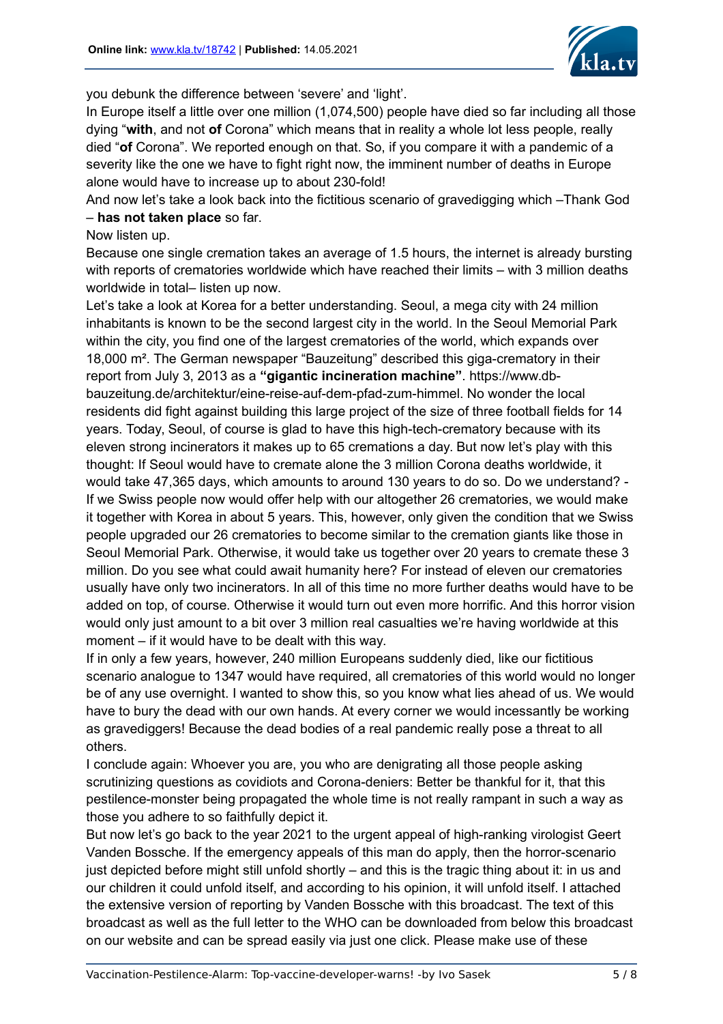

you debunk the difference between 'severe' and 'light'.

In Europe itself a little over one million (1,074,500) people have died so far including all those dying "**with**, and not **of** Corona" which means that in reality a whole lot less people, really died "**of** Corona". We reported enough on that. So, if you compare it with a pandemic of a severity like the one we have to fight right now, the imminent number of deaths in Europe alone would have to increase up to about 230-fold!

And now let's take a look back into the fictitious scenario of gravedigging which –Thank God – **has not taken place** so far.

# Now listen up.

Because one single cremation takes an average of 1.5 hours, the internet is already bursting with reports of crematories worldwide which have reached their limits – with 3 million deaths worldwide in total– listen up now.

Let's take a look at Korea for a better understanding. Seoul, a mega city with 24 million inhabitants is known to be the second largest city in the world. In the Seoul Memorial Park within the city, you find one of the largest crematories of the world, which expands over 18,000 m². The German newspaper "Bauzeitung" described this giga-crematory in their report from July 3, 2013 as a **"gigantic incineration machine"**. https://www.dbbauzeitung.de/architektur/eine-reise-auf-dem-pfad-zum-himmel. No wonder the local residents did fight against building this large project of the size of three football fields for 14 years. Today, Seoul, of course is glad to have this high-tech-crematory because with its eleven strong incinerators it makes up to 65 cremations a day. But now let's play with this thought: If Seoul would have to cremate alone the 3 million Corona deaths worldwide, it would take 47,365 days, which amounts to around 130 years to do so. Do we understand? - If we Swiss people now would offer help with our altogether 26 crematories, we would make it together with Korea in about 5 years. This, however, only given the condition that we Swiss people upgraded our 26 crematories to become similar to the cremation giants like those in Seoul Memorial Park. Otherwise, it would take us together over 20 years to cremate these 3 million. Do you see what could await humanity here? For instead of eleven our crematories usually have only two incinerators. In all of this time no more further deaths would have to be added on top, of course. Otherwise it would turn out even more horrific. And this horror vision would only just amount to a bit over 3 million real casualties we're having worldwide at this moment – if it would have to be dealt with this way.

If in only a few years, however, 240 million Europeans suddenly died, like our fictitious scenario analogue to 1347 would have required, all crematories of this world would no longer be of any use overnight. I wanted to show this, so you know what lies ahead of us. We would have to bury the dead with our own hands. At every corner we would incessantly be working as gravediggers! Because the dead bodies of a real pandemic really pose a threat to all others.

I conclude again: Whoever you are, you who are denigrating all those people asking scrutinizing questions as covidiots and Corona-deniers: Better be thankful for it, that this pestilence-monster being propagated the whole time is not really rampant in such a way as those you adhere to so faithfully depict it.

But now let's go back to the year 2021 to the urgent appeal of high-ranking virologist Geert Vanden Bossche. If the emergency appeals of this man do apply, then the horror-scenario just depicted before might still unfold shortly – and this is the tragic thing about it: in us and our children it could unfold itself, and according to his opinion, it will unfold itself. I attached the extensive version of reporting by Vanden Bossche with this broadcast. The text of this broadcast as well as the full letter to the WHO can be downloaded from below this broadcast on our website and can be spread easily via just one click. Please make use of these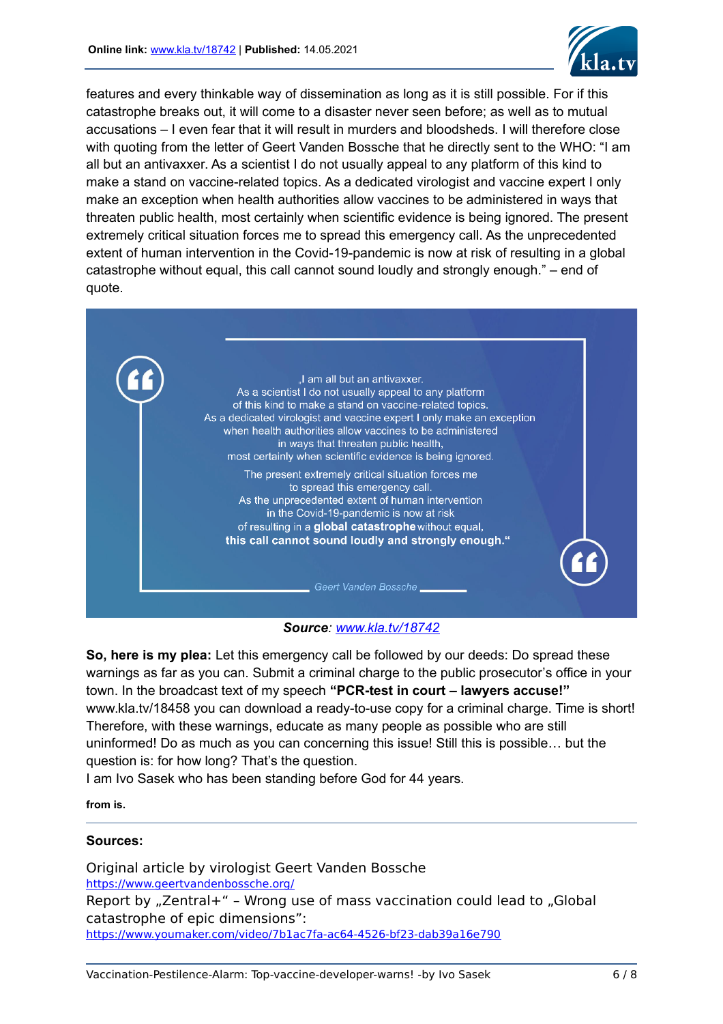

features and every thinkable way of dissemination as long as it is still possible. For if this catastrophe breaks out, it will come to a disaster never seen before; as well as to mutual accusations – I even fear that it will result in murders and bloodsheds. I will therefore close with quoting from the letter of Geert Vanden Bossche that he directly sent to the WHO: "I am all but an antivaxxer. As a scientist I do not usually appeal to any platform of this kind to make a stand on vaccine-related topics. As a dedicated virologist and vaccine expert I only make an exception when health authorities allow vaccines to be administered in ways that threaten public health, most certainly when scientific evidence is being ignored. The present extremely critical situation forces me to spread this emergency call. As the unprecedented extent of human intervention in the Covid-19-pandemic is now at risk of resulting in a global catastrophe without equal, this call cannot sound loudly and strongly enough." – end of quote.



### *Source: [www.kla.tv/18742](http://www.kla.tv/18742)*

**So, here is my plea:** Let this emergency call be followed by our deeds: Do spread these warnings as far as you can. Submit a criminal charge to the public prosecutor's office in your town. In the broadcast text of my speech **"PCR-test in court – lawyers accuse!"** www.kla.tv/18458 you can download a ready-to-use copy for a criminal charge. Time is short! Therefore, with these warnings, educate as many people as possible who are still uninformed! Do as much as you can concerning this issue! Still this is possible… but the question is: for how long? That's the question.

I am Ivo Sasek who has been standing before God for 44 years.

**from is.**

### **Sources:**

Original article by virologist Geert Vanden Bossche <https://www.geertvandenbossche.org/> Report by  $n$ Zentral+" - Wrong use of mass vaccination could lead to  $n$ Global catastrophe of epic dimensions": <https://www.youmaker.com/video/7b1ac7fa-ac64-4526-bf23-dab39a16e790>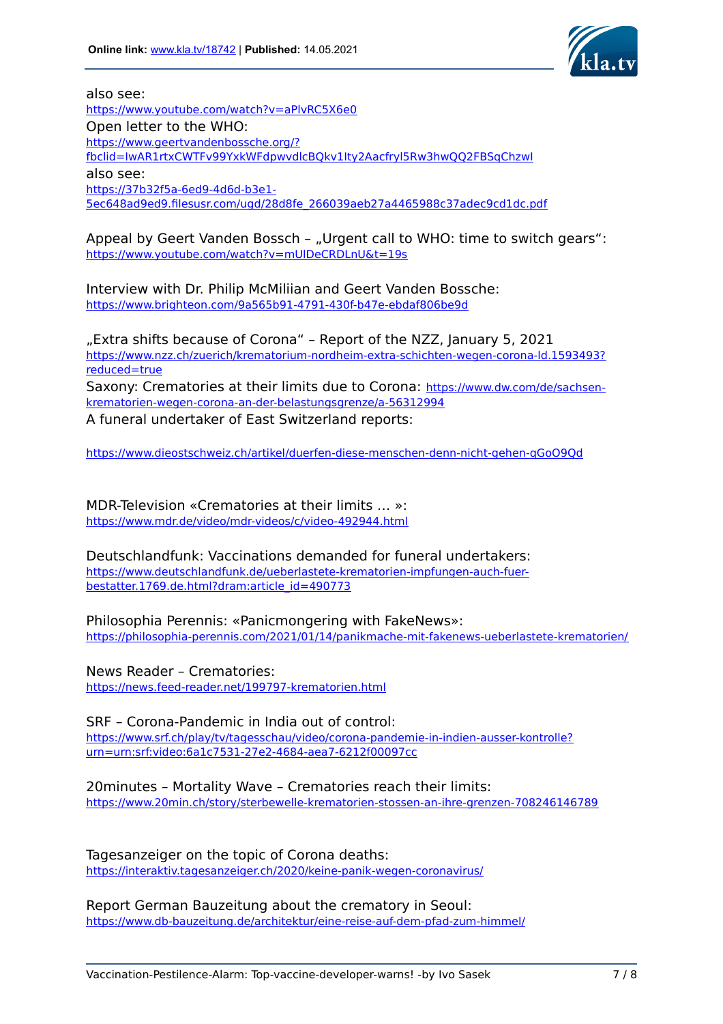

also see:

<https://www.youtube.com/watch?v=aPlvRC5X6e0> Open letter to the WHO: [https://www.geertvandenbossche.org/?](https://www.geertvandenbossche.org/?fbclid=IwAR1rtxCWTFv99YxkWFdpwvdlcBQkv1Ity2Aacfryl5Rw3hwQQ2FBSqChzwI) [fbclid=IwAR1rtxCWTFv99YxkWFdpwvdlcBQkv1Ity2Aacfryl5Rw3hwQQ2FBSqChzwI](https://www.geertvandenbossche.org/?fbclid=IwAR1rtxCWTFv99YxkWFdpwvdlcBQkv1Ity2Aacfryl5Rw3hwQQ2FBSqChzwI) also see: [https://37b32f5a-6ed9-4d6d-b3e1-](https://37b32f5a-6ed9-4d6d-b3e1-5ec648ad9ed9.filesusr.com/ugd/28d8fe_266039aeb27a4465988c37adec9cd1dc.pdf) [5ec648ad9ed9.filesusr.com/ugd/28d8fe\\_266039aeb27a4465988c37adec9cd1dc.pdf](https://37b32f5a-6ed9-4d6d-b3e1-5ec648ad9ed9.filesusr.com/ugd/28d8fe_266039aeb27a4465988c37adec9cd1dc.pdf)

Appeal by Geert Vanden Bossch - "Urgent call to WHO: time to switch gears": <https://www.youtube.com/watch?v=mUlDeCRDLnU&t=19s>

Interview with Dr. Philip McMiliian and Geert Vanden Bossche: <https://www.brighteon.com/9a565b91-4791-430f-b47e-ebdaf806be9d>

"Extra shifts because of Corona" - Report of the NZZ, January 5, 2021 [https://www.nzz.ch/zuerich/krematorium-nordheim-extra-schichten-wegen-corona-ld.1593493?](https://www.nzz.ch/zuerich/krematorium-nordheim-extra-schichten-wegen-corona-ld.1593493?reduced=true) [reduced=true](https://www.nzz.ch/zuerich/krematorium-nordheim-extra-schichten-wegen-corona-ld.1593493?reduced=true) Saxony: Crematories at their limits due to Corona: [https://www.dw.com/de/sachsen](https://www.dw.com/de/sachsen-krematorien-wegen-corona-an-der-belastungsgrenze/a-56312994)[krematorien-wegen-corona-an-der-belastungsgrenze/a-56312994](https://www.dw.com/de/sachsen-krematorien-wegen-corona-an-der-belastungsgrenze/a-56312994) A funeral undertaker of East Switzerland reports:

<https://www.dieostschweiz.ch/artikel/duerfen-diese-menschen-denn-nicht-gehen-qGoO9Qd>

MDR-Television «Crematories at their limits … »: <https://www.mdr.de/video/mdr-videos/c/video-492944.html>

Deutschlandfunk: Vaccinations demanded for funeral undertakers: [https://www.deutschlandfunk.de/ueberlastete-krematorien-impfungen-auch-fuer](https://www.deutschlandfunk.de/ueberlastete-krematorien-impfungen-auch-fuer-bestatter.1769.de.html?dram:article_id=490773)[bestatter.1769.de.html?dram:article\\_id=490773](https://www.deutschlandfunk.de/ueberlastete-krematorien-impfungen-auch-fuer-bestatter.1769.de.html?dram:article_id=490773)

Philosophia Perennis: «Panicmongering with FakeNews»: <https://philosophia-perennis.com/2021/01/14/panikmache-mit-fakenews-ueberlastete-krematorien/>

News Reader – Crematories: <https://news.feed-reader.net/199797-krematorien.html>

SRF – Corona-Pandemic in India out of control: [https://www.srf.ch/play/tv/tagesschau/video/corona-pandemie-in-indien-ausser-kontrolle?](https://www.srf.ch/play/tv/tagesschau/video/corona-pandemie-in-indien-ausser-kontrolle?urn=urn:srf:video:6a1c7531-27e2-4684-aea7-6212f00097cc) [urn=urn:srf:video:6a1c7531-27e2-4684-aea7-6212f00097cc](https://www.srf.ch/play/tv/tagesschau/video/corona-pandemie-in-indien-ausser-kontrolle?urn=urn:srf:video:6a1c7531-27e2-4684-aea7-6212f00097cc)

20minutes – Mortality Wave – Crematories reach their limits: <https://www.20min.ch/story/sterbewelle-krematorien-stossen-an-ihre-grenzen-708246146789>

Tagesanzeiger on the topic of Corona deaths: <https://interaktiv.tagesanzeiger.ch/2020/keine-panik-wegen-coronavirus/>

Report German Bauzeitung about the crematory in Seoul: <https://www.db-bauzeitung.de/architektur/eine-reise-auf-dem-pfad-zum-himmel/>